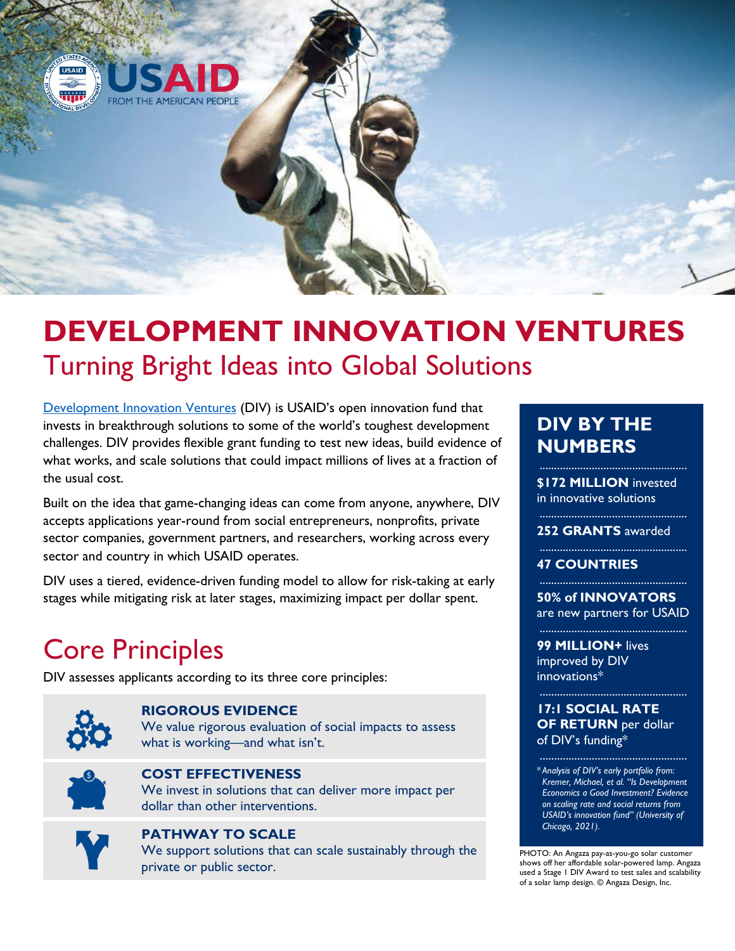

# **DEVELOPMENT INNOVATION VENTURES** Turning Bright Ideas into Global Solutions

Development Innovation Ventures (DIV) is USAID's open innovation fund that invests in breakthrough solutions to some of the world's toughest development challenges. DIV provides flexible grant funding to test new ideas, build evidence of what works, and scale solutions that could impact millions of lives at a fraction of the usual cost.

Built on the idea that game-changing ideas can come from anyone, anywhere, DIV accepts applications year-round from social entrepreneurs, nonprofits, private sector companies, government partners, and researchers, working across every sector and country in which USAID operates.

DIV uses a tiered, evidence-driven funding model to allow for risk-taking at early stages while mitigating risk at later stages, maximizing impact per dollar spent.

## Core Principles

DIV assesses applicants according to its three core principles:



### **RIGOROUS EVIDENCE**

We value rigorous evaluation of social impacts to assess what is working—and what isn't.



### **COST EFFECTIVENESS**

We invest in solutions that can deliver more impact per dollar than other interventions.



## **PATHWAY TO SCALE**

We support solutions that can scale sustainably through the private or public sector.

## **DIV BY THE NUMBERS**

**\$172 MILLION** invested in innovative solutions

...................................................

**252 GRANTS** awarded ...................................................

#### **47 COUNTRIES**

**50% of INNOVATORS** are new partners for USAID

**99 MILLION+** lives improved by DIV innovations\*

#### **17:1 SOCIAL RATE OF RETURN** per dollar of DIV's funding\*

...................................................

...................................................

\* *Analysis of DIV's early portfolio from: Kremer, Michael, et al. "Is Development Economics a Good Investment? Evidence on scaling rate and social returns from USAID's innovation fund" (University of Chicago, 2021).*

PHOTO: An Angaza pay-as-you-go solar customer shows off her affordable solar-powered lamp. Angaza used a Stage 1 DIV Award to test sales and scalability of a solar lamp design. © Angaza Design, Inc.